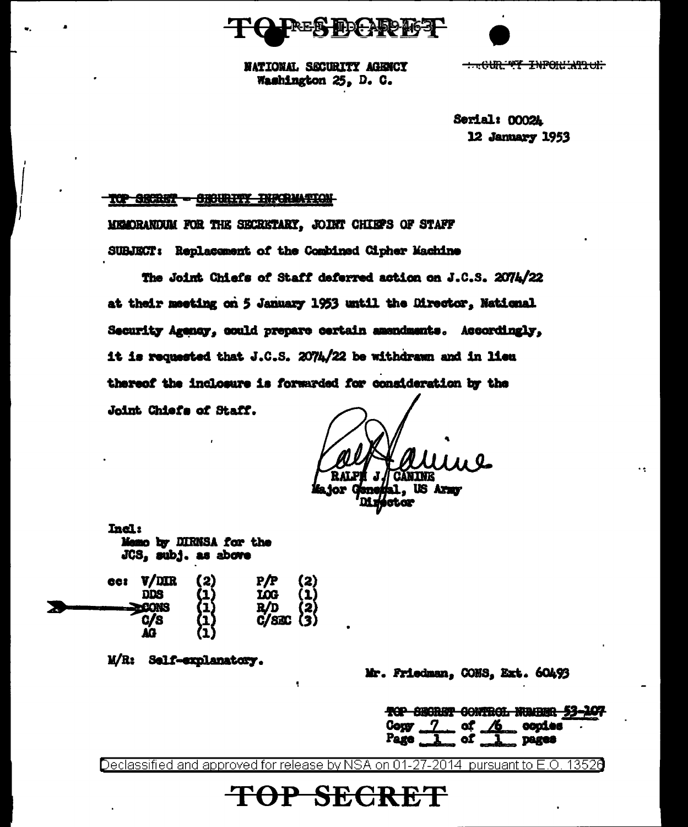DAD T63P



**NATIONAL SECURITY AGENCY** Washington 25, D. C.

- CUR TY INPORTATION

Serial: 0002A 12 January 1953

#### TOP SECRET - CHOURITY INFORMATION

MEADRANDUM FOR THE SECRETARY, JOINT CHIEFS OF STAFF SUBJECT: Replacement of the Combined Cipher Machine

The Joint Chiefs of Staff deferred action on J.C.S. 2074/22 at their meeting on 5 January 1953 until the Director, National Security Agency, could prepare certain amendments. Accordingly, it is requested that J.C.S. 2074/22 be withdrawn and in lieu thereof the inclosure is forwarded for consideration by the Joint Chiefs of Staff.

**US Army Leap** 

Incl: Memo by DIRNSA for the JCS, subj. as above

| 661 | $V/$ DIR<br>פממ | (2)                      | $P/P$ (2)<br>$LOG$ (1)<br>$R/D$ (2)<br>$C/SEC$ (3) |  |
|-----|-----------------|--------------------------|----------------------------------------------------|--|
|     |                 |                          |                                                    |  |
|     | C/S<br>V.       | (1)<br>(1)<br>(1)<br>(1) |                                                    |  |

M/R: Self-explanatory.

Mr. Friedman, CONS, Ext. 60493

|  |  | TOP SECRET CONTROL NUMBER 53-107 |  |
|--|--|----------------------------------|--|
|  |  | $\log y$ $\sim$ of $/6$ copies   |  |
|  |  | <b>DESPERTE</b>                  |  |
|  |  |                                  |  |

Declassified and approved for release by NSA on 01-27-2014  $\,$  pursuant to E.O. 13526

OP SECRET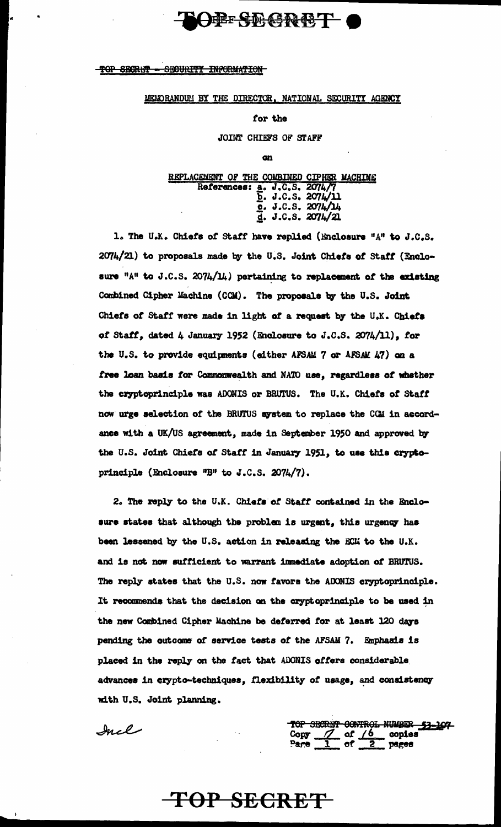TOP SECRET SECURITY INFORMATION

#### MEMORANDUM BY THE DIRECTOR, NATIONAL SECURITY AGENCY

 $\Theta$  is the creep  $\bullet$ 

#### for the

JOINT CHIEFS OF STAFF

on

### REPLACEMENT OF THE COMBINED CIPHER MACHINE References: a. J.C.S. 2074/7 **E. J.C.S. 2074/11**  $\frac{6}{4}$ . J.C.S. 2074/14

1. The U.K. Chiefs of Staff have replied (Enclosure "A" to J.C.S. 2074/21) to proposals made by the U.S. Joint Chiefs of Staff (Enclosure "A" to J.C.S. 2074/14) pertaining to replacement of the existing Combined Cipher Machine (CCM). The proposals by the U.S. Joint Chiefs of Staff were made in light of a request by the U.K. Chiefs of Staff, dated 4 January 1952 (Enclosure to J.C.S. 2074/11), for the U.S. to provide equipments (either AFSAM 7 or AFSAM 47) on a free loan basis for Commonwealth and NATO use, regardless of whether the cryptoprinciple was ADONIS or BRUTUS. The U.K. Chiefs of Staff now urge selection of the BRUTUS system to replace the CCM in accordance with a UK/US agreement, made in September 1950 and approved by the U.S. Joint Chiefs of Staff in January 1951, to use this cryptoprinciple (Enclosure "B" to J.C.S. 2074/7).

2. The reply to the U.K. Chiefs of Staff contained in the Enclosure states that although the problem is urgent, this urgency has been lessened by the U.S. action in releasing the ECM to the U.K. and is not now sufficient to warrant immediate adoption of BRUTUS. The reply states that the U.S. now favors the ADONIS cryptoprinciple. It recommends that the decision on the cryptoprinciple to be used in the new Combined Cipher Machine be deferred for at least 120 days pending the outcome of service tests of the AFSAM 7. Emphasis is placed in the reply on the fact that ADONIS offers considerable advances in crypto-techniques, flexibility of usage, and consistency with U.S. Joint planning.

TOP SECRET

Incl

TOP SECRET CONTROL NUMBER <u> 53-107 </u> Copy  $\frac{7}{2}$  of  $\frac{6}{2}$  copies<br>Pare  $\frac{1}{2}$  of  $\frac{2}{2}$  pages Pare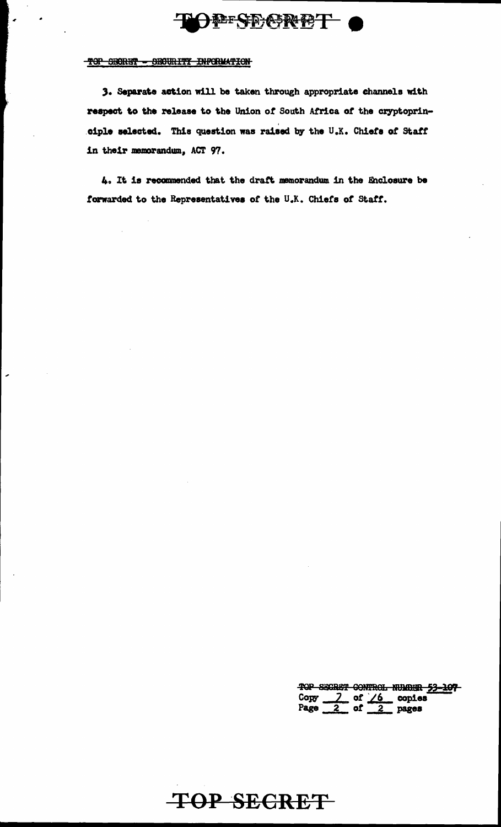## **FESEGRET**

#### TOP SECRET - SECURITY INFORMATION

3. Separate action will be taken through appropriate channels with respect to the release to the Union of South Africa of the cryptoprinciple selected. This question was raised by the U.K. Chiefs of Staff in their memorandum, ACT 97.

4. It is recommended that the draft memorandum in the Enclosure be forwarded to the Representatives of the U.K. Chiefs of Staff.

TOP SECRET CONTROL NUMBER 53-107<br>Copy 7 of 76 copies<br>Page 2 of 2 pages

TOP SECRET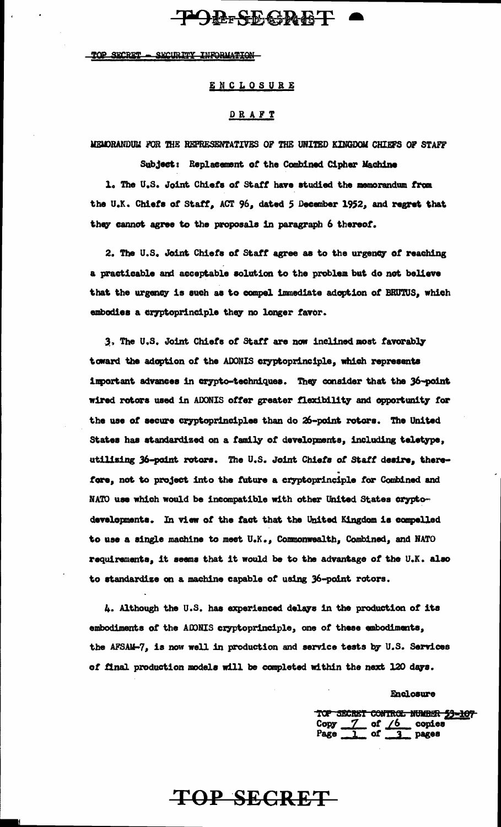### **POR-SEGRET**

#### TOP SECRET - SECURITY INFORMATION

ENCLOSURE

#### DRAFT

MEMORANDUM FOR THE REPRESENTATIVES OF THE UNITED KINGDOM CHIEFS OF STAFF

Subject: Replacement of the Combined Cipher Machine

1. The U.S. Joint Chiefs of Staff have studied the memorandum from the U.K. Chiefs of Staff, ACT 96, dated 5 December 1952, and regret that they cannot agree to the proposals in paragraph 6 thereof.

2. The U.S. Joint Chiefs of Staff agree as to the urgency of reaching a practicable and acceptable solution to the problem but do not believe that the urgency is such as to compel immediate adoption of BRUTUS, which embodies a cryptoprinciple they no longer favor.

3. The U.S. Joint Chiefs of Staff are now inclined most favorably toward the adoption of the ADONIS cryptoprinciple, which represents important advances in crypto-techniques. They consider that the 36-point wired rotors used in ADONIS offer greater flexibility and opportunity for the use of secure cryptoprinciples than do 26-point rotors. The United States has standardized on a family of developments, including teletype, utilising 36-point rotors. The U.S. Joint Chiefs of Staff desire, therefore, not to project into the future a cryptoprinciple for Combined and NATO use which would be incompatible with other United States cryptodevelopments. In view of the fact that the United Kingdom is compelled to use a single machine to meet U.K., Commonwealth, Combined, and NATO requirements, it seems that it would be to the advantage of the U.K. also to standardize on a machine capable of using 36-point rotors.

4. Although the U.S. has experienced delays in the production of its embodiments of the ADNIS cryptoprinciple, one of these embodiments, the AFSAM-7, is now well in production and service tests by U.S. Services of final production models will be completed within the next 120 days.

TOP SECRET

Enclosure

TOP SECRET CONTROL NUMBER 53-107<br>Copy 7 of 6 copies<br>Page 1 of 3 pages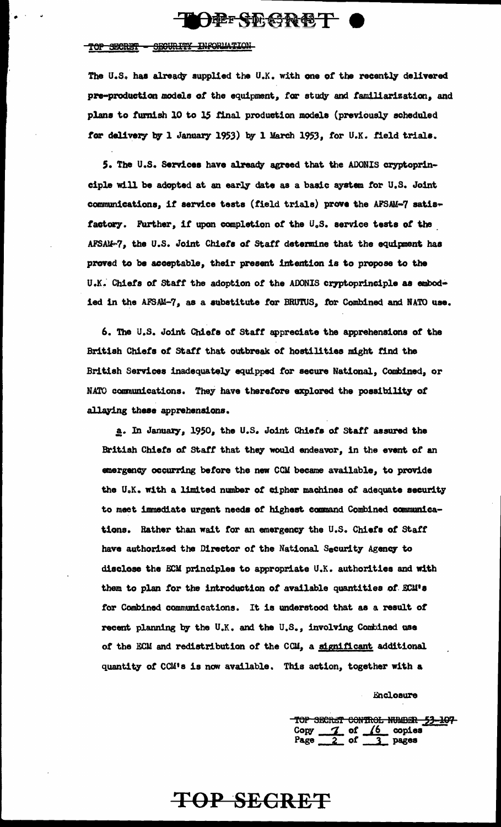

#### TOP SECRET - SECURITY INFORMATION

. . .;

The U.S. has already supplied the U.K. with one of the recently delivered pre-production models of the equipment, for study and familiarization, and plans to furnish 10 to 15 final production models (previously scheduled for delivery by 1 January 1953) by 1 March 1953, for U.K. field trials.

5. The U.S. Services have already agreed that the ADONIS cryptoprinciple will be adopted at an early date as a basic system for U.S. Joint communications, if service tests (field trials) prove the AFSAM-7 satisfactory. Further, if upon completion of the U.S. service tests of the AFSAM-7, the U.S. Joint Chiefs of Staff determine that the equipment has proved to be acceptable, their present intention is to propose to the U.K. Chiefs of Staff the adoption of the ADONIS cryptoprinciple as embodied in the AFSAM-7, as a substitute for BRUTUS, for Combined and NATO use.

6. The u.s. Joint Chieta *ot* Statt appreciate the apprehensions *ot* the British Chiets *ot* statt that outbreak *ot* hostilities might tind. the British Services inadequately equipped for secure National, Combined, or NATO communications. They have therefore explored the possibility of allaying these apprehensions.

a. In January, 1950, the U.S. Joint Chiefs of Staff assured the British Chieta *ot* statt that the7 would endeawr, in the event *ot* an emergency occurring before the new CCM became available, to provide the U.K. with a limited number of cipher machines of adequate security to meet immediate urgent needs of highest command Combined communications. Rather than wait for an emergency the U.S. Chiefs of Staff have authorized the Director of the National Security Agency to disclose the  $ECM$  principles to appropriate U.K. authorities and with them to plan for the introduction of available quantities of ECM's tor Combined communications. It is understood that as a result *ot*  recent planning by the U.K. and the U.S., involving Combined use of the ECM and redistribution of the CCM, a significant additional quant1y *ot* CCM<sup>1</sup> s is now available. This action, together with a

Enclosure

TOP SECRET CONTROL NUMBER 53-107 Copy 7 of 6 copies  $Page 2 of 3 pages$ 

## **TOP SECRET**